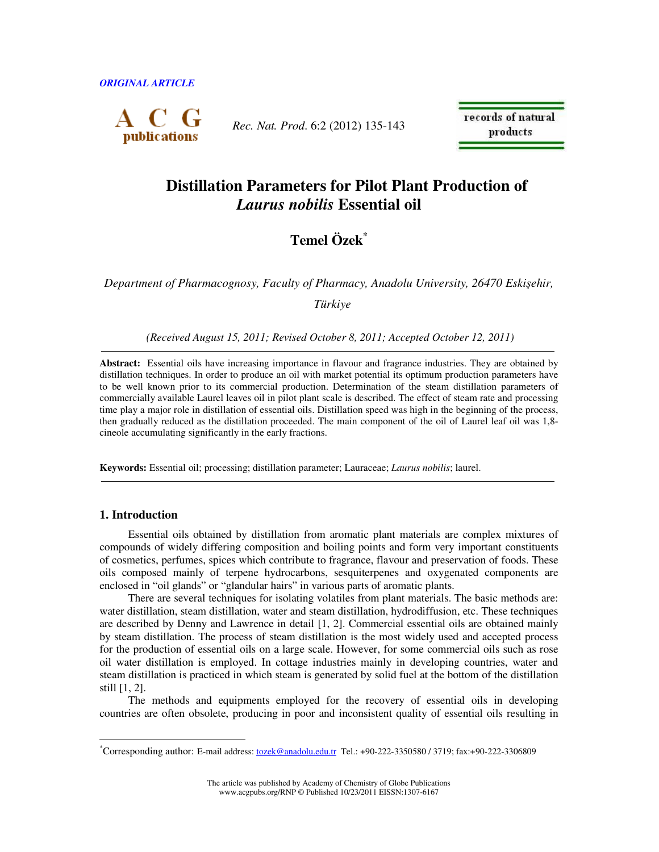*ORIGINAL ARTICLE* 



*Rec. Nat. Prod*. 6:2 (2012) 135-143

records of natural products

# **Distillation Parameters for Pilot Plant Production of**  *Laurus nobilis* **Essential oil**

# **Temel Özek***\**

*Department of Pharmacognosy, Faculty of Pharmacy, Anadolu University, 26470 Eski*ş*ehir, Türkiye* 

 *(Received August 15, 2011; Revised October 8, 2011; Accepted October 12, 2011)* 

**Abstract:** Essential oils have increasing importance in flavour and fragrance industries. They are obtained by distillation techniques. In order to produce an oil with market potential its optimum production parameters have to be well known prior to its commercial production. Determination of the steam distillation parameters of commercially available Laurel leaves oil in pilot plant scale is described. The effect of steam rate and processing time play a major role in distillation of essential oils. Distillation speed was high in the beginning of the process, then gradually reduced as the distillation proceeded. The main component of the oil of Laurel leaf oil was 1,8 cineole accumulating significantly in the early fractions.

**Keywords:** Essential oil; processing; distillation parameter; Lauraceae; *Laurus nobilis*; laurel.

## **1. Introduction**

 $\overline{a}$ 

Essential oils obtained by distillation from aromatic plant materials are complex mixtures of compounds of widely differing composition and boiling points and form very important constituents of cosmetics, perfumes, spices which contribute to fragrance, flavour and preservation of foods. These oils composed mainly of terpene hydrocarbons, sesquiterpenes and oxygenated components are enclosed in "oil glands" or "glandular hairs" in various parts of aromatic plants.

There are several techniques for isolating volatiles from plant materials. The basic methods are: water distillation, steam distillation, water and steam distillation, hydrodiffusion, etc. These techniques are described by Denny and Lawrence in detail [1, 2]. Commercial essential oils are obtained mainly by steam distillation. The process of steam distillation is the most widely used and accepted process for the production of essential oils on a large scale. However, for some commercial oils such as rose oil water distillation is employed. In cottage industries mainly in developing countries, water and steam distillation is practiced in which steam is generated by solid fuel at the bottom of the distillation still [1, 2].

The methods and equipments employed for the recovery of essential oils in developing countries are often obsolete, producing in poor and inconsistent quality of essential oils resulting in

The article was published by Academy of Chemistry of Globe Publications www.acgpubs.org/RNP © Published 10/23/2011 EISSN:1307-6167

<sup>\*</sup>Corresponding author: E-mail address: <u>tozek@anadolu.edu.tr</u> Tel.: +90-222-3350580 / 3719; fax:+90-222-3306809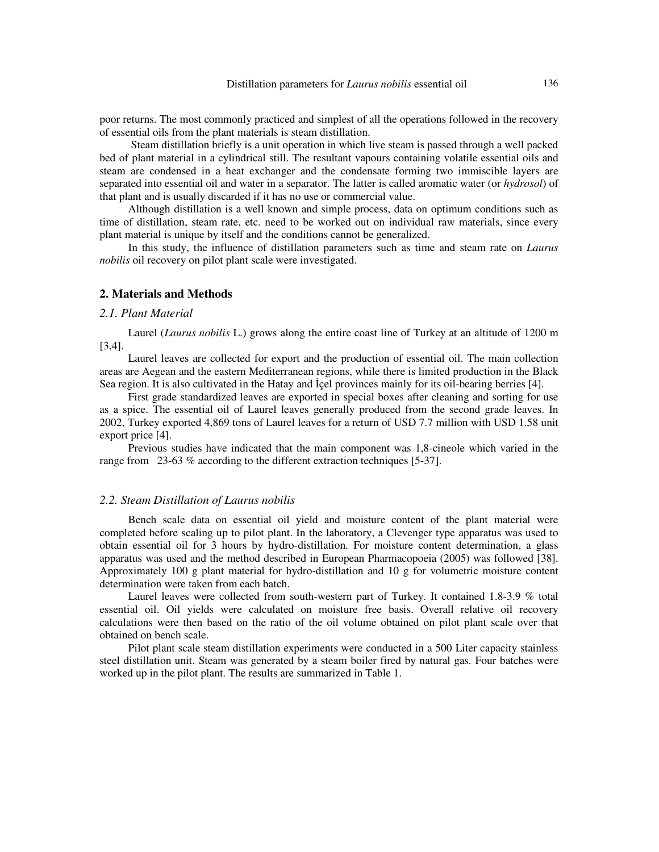poor returns. The most commonly practiced and simplest of all the operations followed in the recovery of essential oils from the plant materials is steam distillation.

 Steam distillation briefly is a unit operation in which live steam is passed through a well packed bed of plant material in a cylindrical still. The resultant vapours containing volatile essential oils and steam are condensed in a heat exchanger and the condensate forming two immiscible layers are separated into essential oil and water in a separator. The latter is called aromatic water (or *hydrosol*) of that plant and is usually discarded if it has no use or commercial value.

Although distillation is a well known and simple process, data on optimum conditions such as time of distillation, steam rate, etc. need to be worked out on individual raw materials, since every plant material is unique by itself and the conditions cannot be generalized.

In this study, the influence of distillation parameters such as time and steam rate on *Laurus nobilis* oil recovery on pilot plant scale were investigated.

### **2. Materials and Methods**

#### *2.1. Plant Material*

Laurel (*Laurus nobilis* L.) grows along the entire coast line of Turkey at an altitude of 1200 m [3,4].

Laurel leaves are collected for export and the production of essential oil. The main collection areas are Aegean and the eastern Mediterranean regions, while there is limited production in the Black Sea region. It is also cultivated in the Hatay and İçel provinces mainly for its oil-bearing berries [4].

First grade standardized leaves are exported in special boxes after cleaning and sorting for use as a spice. The essential oil of Laurel leaves generally produced from the second grade leaves. In 2002, Turkey exported 4,869 tons of Laurel leaves for a return of USD 7.7 million with USD 1.58 unit export price [4].

Previous studies have indicated that the main component was 1,8-cineole which varied in the range from 23-63 % according to the different extraction techniques [5-37].

#### *2.2. Steam Distillation of Laurus nobilis*

Bench scale data on essential oil yield and moisture content of the plant material were completed before scaling up to pilot plant. In the laboratory, a Clevenger type apparatus was used to obtain essential oil for 3 hours by hydro-distillation. For moisture content determination, a glass apparatus was used and the method described in European Pharmacopoeia (2005) was followed [38]. Approximately 100 g plant material for hydro-distillation and 10 g for volumetric moisture content determination were taken from each batch.

Laurel leaves were collected from south-western part of Turkey. It contained 1.8-3.9 % total essential oil. Oil yields were calculated on moisture free basis. Overall relative oil recovery calculations were then based on the ratio of the oil volume obtained on pilot plant scale over that obtained on bench scale.

Pilot plant scale steam distillation experiments were conducted in a 500 Liter capacity stainless steel distillation unit. Steam was generated by a steam boiler fired by natural gas. Four batches were worked up in the pilot plant. The results are summarized in Table 1.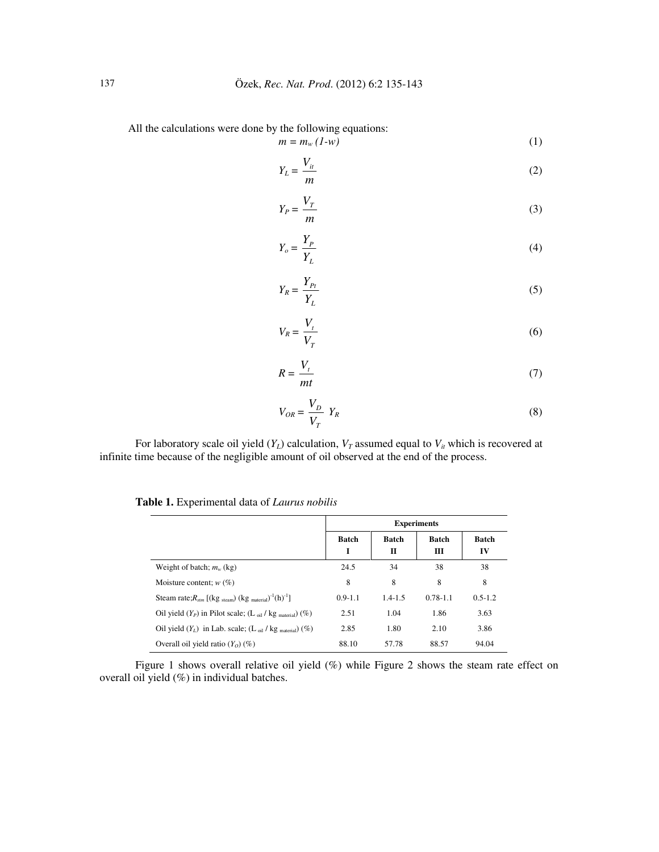All the calculations were done by the following equations:

$$
m = m_w (1-w) \tag{1}
$$

$$
Y_L = \frac{V_{it}}{m} \tag{2}
$$

$$
Y_P = \frac{V_T}{m} \tag{3}
$$

$$
Y_o = \frac{Y_P}{Y_L} \tag{4}
$$

$$
Y_R = \frac{Y_{Pt}}{Y_L} \tag{5}
$$

$$
V_R = \frac{V_t}{V_T} \tag{6}
$$

$$
R = \frac{V_t}{mt} \tag{7}
$$

$$
V_{OR} = \frac{V_D}{V_T} Y_R \tag{8}
$$

For laboratory scale oil yield  $(Y_L)$  calculation,  $V_T$  assumed equal to  $V_i$  which is recovered at infinite time because of the negligible amount of oil observed at the end of the process.

|                                                                                    | <b>Experiments</b> |                   |                   |             |
|------------------------------------------------------------------------------------|--------------------|-------------------|-------------------|-------------|
|                                                                                    | <b>Batch</b><br>I  | <b>Batch</b><br>п | <b>Batch</b><br>Ш | Batch<br>IV |
| Weight of batch; $m_w$ (kg)                                                        | 24.5               | 34                | 38                | 38          |
| Moisture content; $w(\%)$                                                          | 8                  | 8                 | 8                 | 8           |
| Steam rate; $R_{stm}$ [(kg steam) (kg material) <sup>-1</sup> (h) <sup>-1</sup> ]  | $0.9 - 1.1$        | $1.4 - 1.5$       | $0.78 - 1.1$      | $0.5 - 1.2$ |
| Oil yield $(Y_P)$ in Pilot scale; (L <sub>oil</sub> / kg <sub>material</sub> ) (%) | 2.51               | 1.04              | 1.86              | 3.63        |
| Oil yield $(Y_L)$ in Lab. scale; $(L_{oil} / kg_{material})$ (%)                   | 2.85               | 1.80              | 2.10              | 3.86        |
| Overall oil yield ratio $(Y_0)(\%)$                                                | 88.10              | 57.78             | 88.57             | 94.04       |

**Table 1.** Experimental data of *Laurus nobilis*

Figure 1 shows overall relative oil yield (%) while Figure 2 shows the steam rate effect on overall oil yield (%) in individual batches.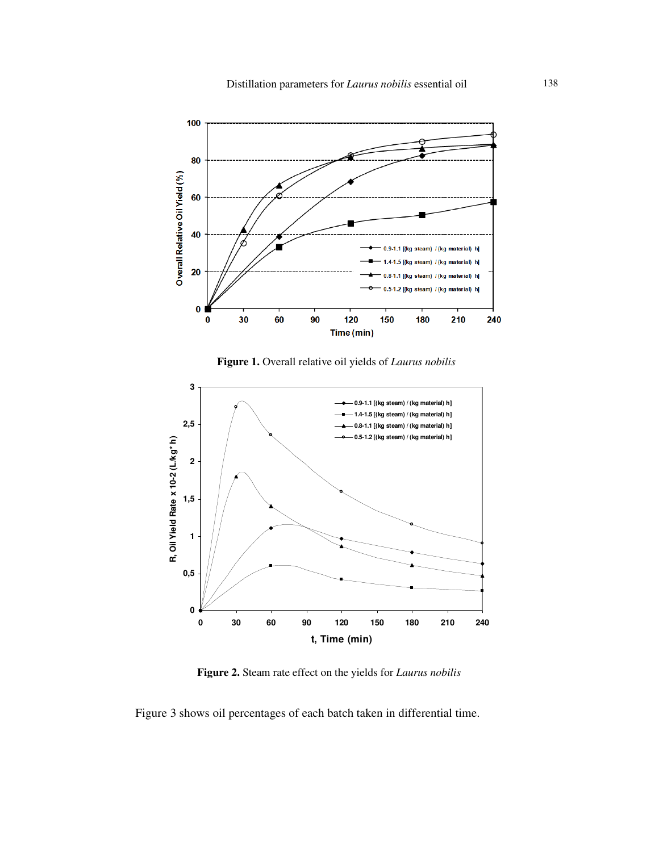

**Figure 1.** Overall relative oil yields of *Laurus nobilis*



**Figure 2.** Steam rate effect on the yields for *Laurus nobilis*

Figure 3 shows oil percentages of each batch taken in differential time.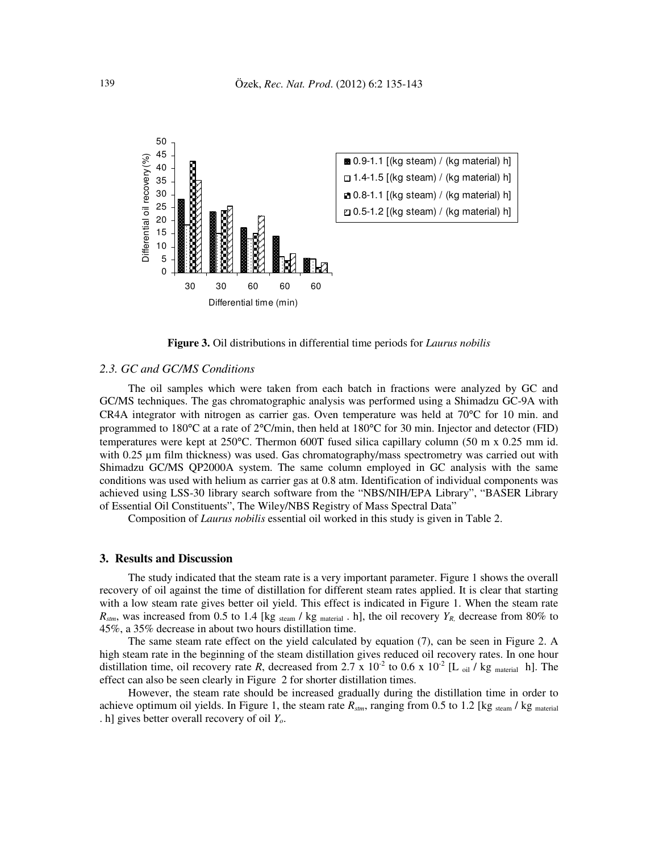

**Figure 3.** Oil distributions in differential time periods for *Laurus nobilis*

### *2.3. GC and GC/MS Conditions*

The oil samples which were taken from each batch in fractions were analyzed by GC and GC/MS techniques. The gas chromatographic analysis was performed using a Shimadzu GC-9A with CR4A integrator with nitrogen as carrier gas. Oven temperature was held at 70°C for 10 min. and programmed to 180°C at a rate of 2°C/min, then held at 180°C for 30 min. Injector and detector (FID) temperatures were kept at 250°C. Thermon 600T fused silica capillary column (50 m x 0.25 mm id. with 0.25 µm film thickness) was used. Gas chromatography/mass spectrometry was carried out with Shimadzu GC/MS QP2000A system. The same column employed in GC analysis with the same conditions was used with helium as carrier gas at 0.8 atm. Identification of individual components was achieved using LSS-30 library search software from the "NBS/NIH/EPA Library", "BASER Library of Essential Oil Constituents", The Wiley/NBS Registry of Mass Spectral Data"

Composition of *Laurus nobilis* essential oil worked in this study is given in Table 2.

#### **3. Results and Discussion**

The study indicated that the steam rate is a very important parameter. Figure 1 shows the overall recovery of oil against the time of distillation for different steam rates applied. It is clear that starting with a low steam rate gives better oil yield. This effect is indicated in Figure 1. When the steam rate  $R_{\text{stm}}$ , was increased from 0.5 to 1.4 [kg steam / kg material . h], the oil recovery  $Y_R$  decrease from 80% to 45%, a 35% decrease in about two hours distillation time.

The same steam rate effect on the yield calculated by equation (7), can be seen in Figure 2. A high steam rate in the beginning of the steam distillation gives reduced oil recovery rates. In one hour distillation time, oil recovery rate *R*, decreased from 2.7 x 10<sup>-2</sup> to 0.6 x 10<sup>-2</sup> [L oil / kg material h]. The effect can also be seen clearly in Figure 2 for shorter distillation times.

However, the steam rate should be increased gradually during the distillation time in order to achieve optimum oil yields. In Figure 1, the steam rate  $R_{\text{atm}}$ , ranging from 0.5 to 1.2 [kg steam / kg material] . h] gives better overall recovery of oil *Yo*.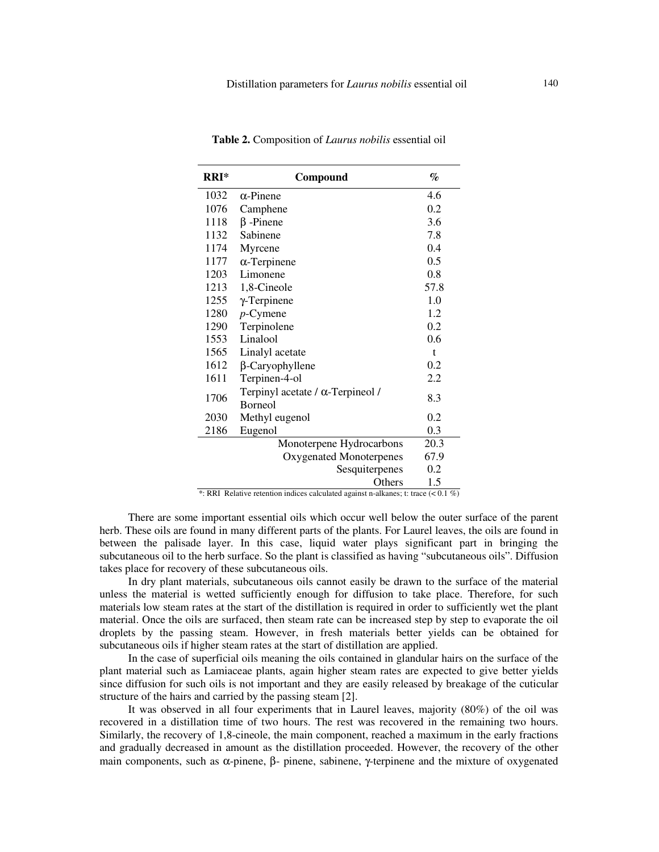| $RRI*$ | Compound                                           | %            |
|--------|----------------------------------------------------|--------------|
| 1032   | $\alpha$ -Pinene                                   | 4.6          |
| 1076   | Camphene                                           | 0.2          |
| 1118   | $\beta$ -Pinene                                    | 3.6          |
| 1132   | Sabinene                                           | 7.8          |
| 1174   | Myrcene                                            | 0.4          |
| 1177   | $\alpha$ -Terpinene                                | 0.5          |
| 1203   | Limonene                                           | 0.8          |
| 1213   | 1,8-Cineole                                        | 57.8         |
| 1255   | $\gamma$ -Terpinene                                | 1.0          |
| 1280   | $p$ -Cymene                                        | 1.2          |
| 1290   | Terpinolene                                        | 0.2          |
| 1553   | Linalool                                           | 0.6          |
| 1565   | Linalyl acetate                                    | $\mathbf{t}$ |
| 1612   | $\beta$ -Caryophyllene                             | 0.2          |
| 1611   | Terpinen-4-ol                                      | 2.2          |
| 1706   | Terpinyl acetate / α-Terpineol /<br><b>Borneol</b> | 8.3          |
| 2030   | Methyl eugenol                                     | 0.2          |
| 2186   | Eugenol                                            | 0.3          |
|        | Monoterpene Hydrocarbons                           | 20.3         |
|        | Oxygenated Monoterpenes                            | 67.9         |
|        | Sesquiterpenes                                     | 0.2          |
|        | Others                                             | 1.5          |

**Table 2.** Composition of *Laurus nobilis* essential oil

\*: RRI Relative retention indices calculated against n-alkanes; t: trace (< 0.1 %)

There are some important essential oils which occur well below the outer surface of the parent herb. These oils are found in many different parts of the plants. For Laurel leaves, the oils are found in between the palisade layer. In this case, liquid water plays significant part in bringing the subcutaneous oil to the herb surface. So the plant is classified as having "subcutaneous oils". Diffusion takes place for recovery of these subcutaneous oils.

In dry plant materials, subcutaneous oils cannot easily be drawn to the surface of the material unless the material is wetted sufficiently enough for diffusion to take place. Therefore, for such materials low steam rates at the start of the distillation is required in order to sufficiently wet the plant material. Once the oils are surfaced, then steam rate can be increased step by step to evaporate the oil droplets by the passing steam. However, in fresh materials better yields can be obtained for subcutaneous oils if higher steam rates at the start of distillation are applied.

In the case of superficial oils meaning the oils contained in glandular hairs on the surface of the plant material such as Lamiaceae plants, again higher steam rates are expected to give better yields since diffusion for such oils is not important and they are easily released by breakage of the cuticular structure of the hairs and carried by the passing steam [2].

It was observed in all four experiments that in Laurel leaves, majority (80%) of the oil was recovered in a distillation time of two hours. The rest was recovered in the remaining two hours. Similarly, the recovery of 1,8-cineole, the main component, reached a maximum in the early fractions and gradually decreased in amount as the distillation proceeded. However, the recovery of the other main components, such as α-pinene, β- pinene, sabinene, γ-terpinene and the mixture of oxygenated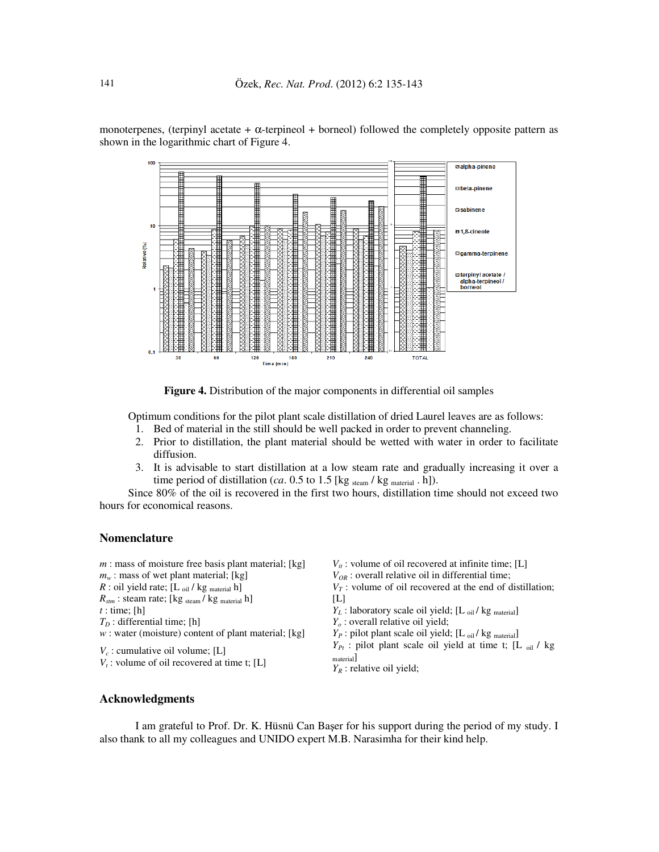

monoterpenes, (terpinyl acetate +  $\alpha$ -terpineol + borneol) followed the completely opposite pattern as shown in the logarithmic chart of Figure 4.

**Figure 4.** Distribution of the major components in differential oil samples

Optimum conditions for the pilot plant scale distillation of dried Laurel leaves are as follows:

- 1. Bed of material in the still should be well packed in order to prevent channeling.
- 2. Prior to distillation, the plant material should be wetted with water in order to facilitate diffusion.
- 3. It is advisable to start distillation at a low steam rate and gradually increasing it over a time period of distillation (*ca*. 0.5 to 1.5 [kg  $_{\text{steam}}$  / kg  $_{\text{material}}$  . h]).

Since 80% of the oil is recovered in the first two hours, distillation time should not exceed two hours for economical reasons.

## **Nomenclature**

| $m$ : mass of moisture free basis plant material; [kg]                               | $V_{it}$ : volume of oil recovered at infinite time; [L]                                                      |
|--------------------------------------------------------------------------------------|---------------------------------------------------------------------------------------------------------------|
| $m_w$ : mass of wet plant material; [kg]                                             | $V_{OR}$ : overall relative oil in differential time;                                                         |
| $R$ : oil yield rate; [L $_{\text{oil}}$ / kg $_{\text{material}}$ h]                | $V\tau$ : volume of oil recovered at the end of distillation;                                                 |
| $R_{\text{stm}}$ : steam rate; [kg $_{\text{stem}}$ / kg $_{\text{material}}$ h]     | IL۱                                                                                                           |
| $t:$ time; [h]                                                                       | $Y_L$ : laboratory scale oil yield; [L $_{\text{oil}}$ / kg $_{\text{material}}$ ]                            |
| $TD$ : differential time; [h]                                                        | $Yo$ : overall relative oil yield;                                                                            |
| $w$ : water (moisture) content of plant material; [kg]                               | $Y_P$ : pilot plant scale oil yield; [L $_{oil}$ / kg $_{material}$ ]                                         |
| $V_c$ : cumulative oil volume; [L]<br>$V_t$ : volume of oil recovered at time t; [L] | $Y_{Pt}$ : pilot plant scale oil yield at time t; [L $_{oil}$ / kg<br>material<br>$Y_R$ : relative oil yield; |

## **Acknowledgments**

I am grateful to Prof. Dr. K. Hüsnü Can Başer for his support during the period of my study. I also thank to all my colleagues and UNIDO expert M.B. Narasimha for their kind help.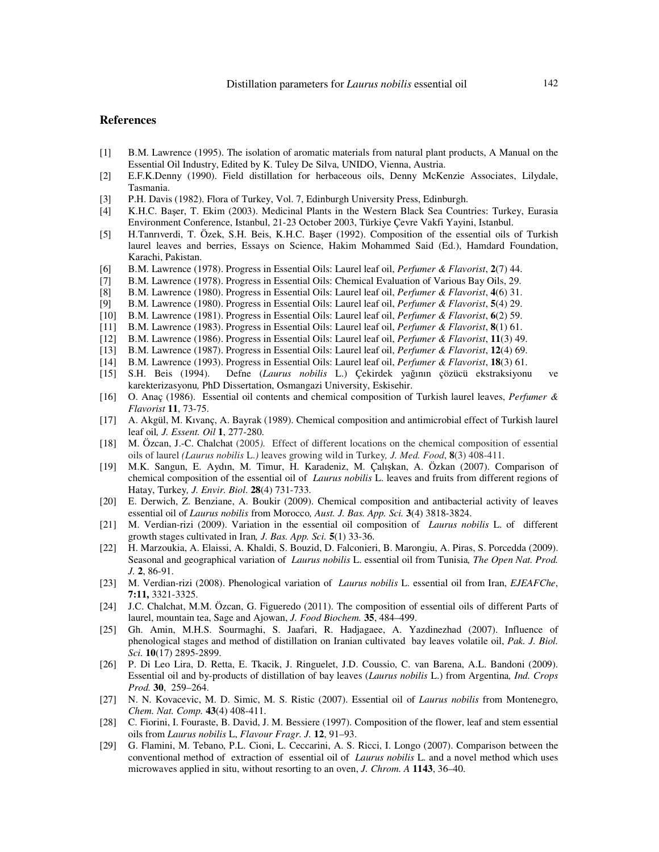### **References**

- [1] B.M. Lawrence (1995). The isolation of aromatic materials from natural plant products, A Manual on the Essential Oil Industry, Edited by K. Tuley De Silva, UNIDO, Vienna, Austria.
- [2] E.F.K.Denny (1990). Field distillation for herbaceous oils, Denny McKenzie Associates, Lilydale, Tasmania.
- [3] P.H. Davis (1982). Flora of Turkey, Vol. 7, Edinburgh University Press, Edinburgh.
- [4] K.H.C. Başer, T. Ekim (2003). Medicinal Plants in the Western Black Sea Countries: Turkey, Eurasia Environment Conference, Istanbul, 21-23 October 2003, Türkiye Çevre Vakfi Yayini, Istanbul.
- [5] H.Tanrıverdi, T. Özek, S.H. Beis, K.H.C. Başer (1992). Composition of the essential oils of Turkish laurel leaves and berries, Essays on Science, Hakim Mohammed Said (Ed.), Hamdard Foundation, Karachi, Pakistan.
- [6] B.M. Lawrence (1978). Progress in Essential Oils: Laurel leaf oil, *Perfumer & Flavorist*, **2**(7) 44.
- [7] B.M. Lawrence (1978). Progress in Essential Oils: Chemical Evaluation of Various Bay Oils, 29.
- [8] B.M. Lawrence (1980). Progress in Essential Oils: Laurel leaf oil, *Perfumer & Flavorist*, **4**(6) 31.
- [9] B.M. Lawrence (1980). Progress in Essential Oils: Laurel leaf oil, *Perfumer & Flavorist*, **5**(4) 29.
- [10] B.M. Lawrence (1981). Progress in Essential Oils: Laurel leaf oil, *Perfumer & Flavorist*, **6**(2) 59.
- [11] B.M. Lawrence (1983). Progress in Essential Oils: Laurel leaf oil, *Perfumer & Flavorist*, **8**(1) 61.
- [12] B.M. Lawrence (1986). Progress in Essential Oils: Laurel leaf oil, *Perfumer & Flavorist*, **11**(3) 49.
- [13] B.M. Lawrence (1987). Progress in Essential Oils: Laurel leaf oil, *Perfumer & Flavorist*, **12**(4) 69.
- [14] B.M. Lawrence (1993). Progress in Essential Oils: Laurel leaf oil, *Perfumer & Flavorist*, **18**(3) 61.
- [15] S.H. Beis (1994). Defne (*Laurus nobilis* L.) Çekirdek yağının çözücü ekstraksiyonu ve karekterizasyonu*,* PhD Dissertation, Osmangazi University, Eskisehir.
- [16] O. Anaç (1986). Essential oil contents and chemical composition of Turkish laurel leaves, *Perfumer & Flavorist* **11**, 73-75.
- [17] A. Akgül, M. Kıvanç, A. Bayrak (1989). Chemical composition and antimicrobial effect of Turkish laurel leaf oil*, J. Essent. Oil* **1**, 277-280.
- [18] M. Özcan, J.-C. Chalchat (2005*).* Effect of different locations on the chemical composition of essential oils of laurel *(Laurus nobilis* L.*)* leaves growing wild in Turkey*, J. Med. Food*, **8**(3) 408-411.
- [19] M.K. Sangun, E. Aydın, M. Timur, H. Karadeniz, M. Çalışkan, A. Özkan (2007). Comparison of chemical composition of the essential oil of *Laurus nobilis* L. leaves and fruits from different regions of Hatay, Turkey*, J. Envir. Biol*. **28**(4) 731-733.
- [20] E. Derwich, Z. Benziane, A. Boukir (2009). Chemical composition and antibacterial activity of leaves essential oil of *Laurus nobilis* from Morocco*, Aust. J. Bas. App. Sci.* **3**(4) 3818-3824.
- [21] M. Verdian-rizi (2009). Variation in the essential oil composition of *Laurus nobilis* L. of different growth stages cultivated in Iran*, J. Bas. App. Sci.* **5**(1) 33-36.
- [22] H. Marzoukia, A. Elaissi, A. Khaldi, S. Bouzid, D. Falconieri, B. Marongiu, A. Piras, S. Porcedda (2009). Seasonal and geographical variation of *Laurus nobilis* L. essential oil from Tunisia*, The Open Nat. Prod. J.* **2**, 86-91.
- [23] M. Verdian-rizi (2008). Phenological variation of *Laurus nobilis* L. essential oil from Iran, *EJEAFChe*, **7:11,** 3321-3325.
- [24] J.C. Chalchat, M.M. Özcan, G. Figueredo (2011). The composition of essential oils of different Parts of laurel, mountain tea, Sage and Ajowan, *J. Food Biochem.* **35**, 484–499.
- [25] Gh. Amin, M.H.S. Sourmaghi, S. Jaafari, R. Hadjagaee, A. Yazdinezhad (2007). Influence of phenological stages and method of distillation on Iranian cultivated bay leaves volatile oil, *Pak. J. Biol. Sci.* **10**(17) 2895-2899.
- [26] P. Di Leo Lira, D. Retta, E. Tkacik, J. Ringuelet, J.D. Coussio, C. van Barena, A.L. Bandoni (2009). Essential oil and by-products of distillation of bay leaves (*Laurus nobilis* L.) from Argentina*, Ind. Crops Prod.* **30**, 259–264.
- [27] N. N. Kovacevic, M. D. Simic, M. S. Ristic (2007). Essential oil of *Laurus nobilis* from Montenegro, *Chem. Nat. Comp.* **43**(4) 408-411.
- [28] C. Fiorini, I. Fouraste, B. David, J. M. Bessiere (1997). Composition of the flower, leaf and stem essential oils from *Laurus nobilis* L, *Flavour Fragr. J.* **12**, 91–93.
- [29] G. Flamini, M. Tebano, P.L. Cioni, L. Ceccarini, A. S. Ricci, I. Longo (2007). Comparison between the conventional method of extraction of essential oil of *Laurus nobilis* L. and a novel method which uses microwaves applied in situ, without resorting to an oven, *J. Chrom. A* **1143**, 36–40.